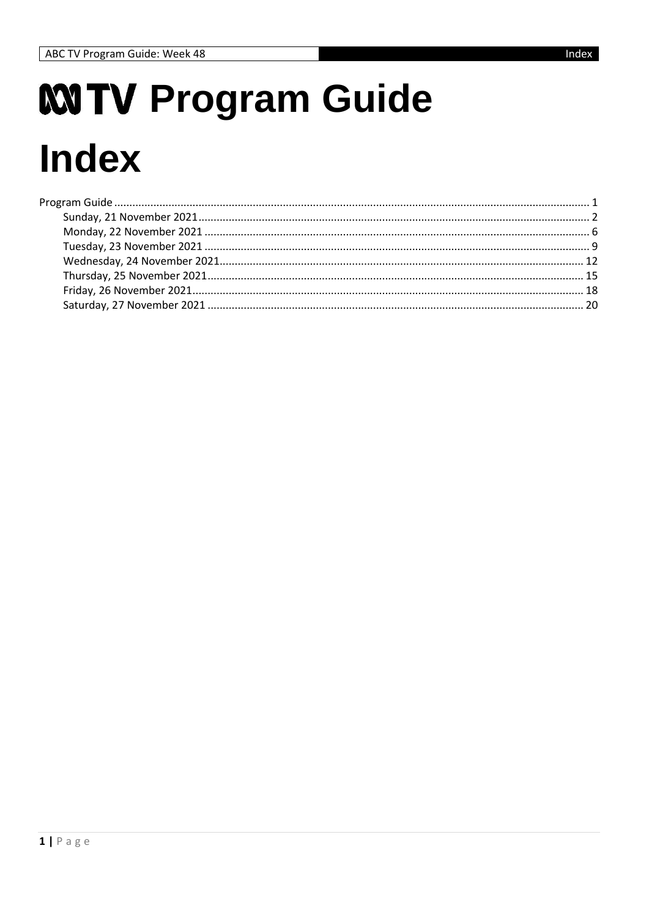# <span id="page-0-0"></span>**MTV Program Guide Index**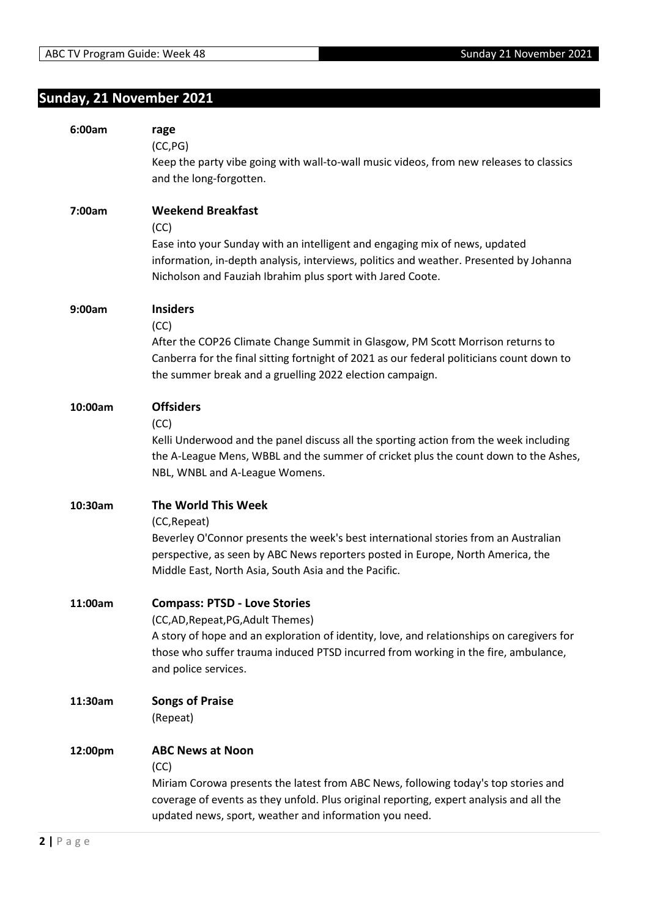# <span id="page-1-0"></span>**Sunday, 21 November 2021**

| 6:00am  | rage<br>(CC, PG)<br>Keep the party vibe going with wall-to-wall music videos, from new releases to classics<br>and the long-forgotten.                                                                                                                                              |
|---------|-------------------------------------------------------------------------------------------------------------------------------------------------------------------------------------------------------------------------------------------------------------------------------------|
| 7:00am  | <b>Weekend Breakfast</b><br>(CC)<br>Ease into your Sunday with an intelligent and engaging mix of news, updated<br>information, in-depth analysis, interviews, politics and weather. Presented by Johanna<br>Nicholson and Fauziah Ibrahim plus sport with Jared Coote.             |
| 9:00am  | <b>Insiders</b><br>(CC)<br>After the COP26 Climate Change Summit in Glasgow, PM Scott Morrison returns to<br>Canberra for the final sitting fortnight of 2021 as our federal politicians count down to<br>the summer break and a gruelling 2022 election campaign.                  |
| 10:00am | <b>Offsiders</b><br>(CC)<br>Kelli Underwood and the panel discuss all the sporting action from the week including<br>the A-League Mens, WBBL and the summer of cricket plus the count down to the Ashes,<br>NBL, WNBL and A-League Womens.                                          |
| 10:30am | <b>The World This Week</b><br>(CC, Repeat)<br>Beverley O'Connor presents the week's best international stories from an Australian<br>perspective, as seen by ABC News reporters posted in Europe, North America, the<br>Middle East, North Asia, South Asia and the Pacific.        |
| 11:00am | <b>Compass: PTSD - Love Stories</b><br>(CC,AD, Repeat, PG, Adult Themes)<br>A story of hope and an exploration of identity, love, and relationships on caregivers for<br>those who suffer trauma induced PTSD incurred from working in the fire, ambulance,<br>and police services. |
| 11:30am | <b>Songs of Praise</b><br>(Repeat)                                                                                                                                                                                                                                                  |
| 12:00pm | <b>ABC News at Noon</b><br>(CC)<br>Miriam Corowa presents the latest from ABC News, following today's top stories and<br>coverage of events as they unfold. Plus original reporting, expert analysis and all the<br>updated news, sport, weather and information you need.          |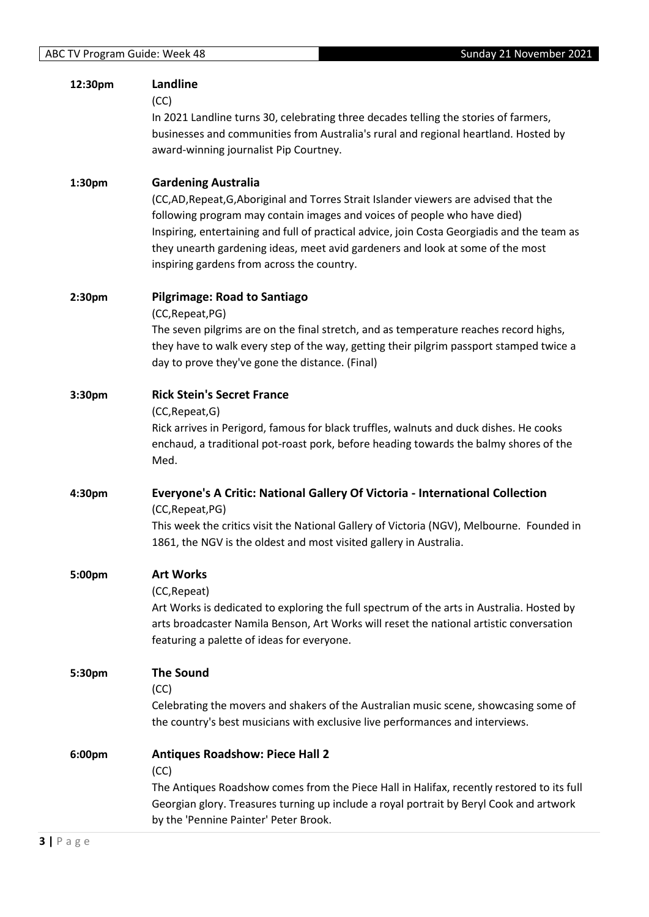| 12:30pm            | <b>Landline</b><br>(CC)<br>In 2021 Landline turns 30, celebrating three decades telling the stories of farmers,<br>businesses and communities from Australia's rural and regional heartland. Hosted by<br>award-winning journalist Pip Courtney.                                                                                                                                                                            |
|--------------------|-----------------------------------------------------------------------------------------------------------------------------------------------------------------------------------------------------------------------------------------------------------------------------------------------------------------------------------------------------------------------------------------------------------------------------|
| 1:30pm             | <b>Gardening Australia</b><br>(CC,AD,Repeat,G,Aboriginal and Torres Strait Islander viewers are advised that the<br>following program may contain images and voices of people who have died)<br>Inspiring, entertaining and full of practical advice, join Costa Georgiadis and the team as<br>they unearth gardening ideas, meet avid gardeners and look at some of the most<br>inspiring gardens from across the country. |
| 2:30 <sub>pm</sub> | <b>Pilgrimage: Road to Santiago</b><br>(CC, Repeat, PG)<br>The seven pilgrims are on the final stretch, and as temperature reaches record highs,<br>they have to walk every step of the way, getting their pilgrim passport stamped twice a<br>day to prove they've gone the distance. (Final)                                                                                                                              |
| 3:30pm             | <b>Rick Stein's Secret France</b><br>(CC, Repeat, G)<br>Rick arrives in Perigord, famous for black truffles, walnuts and duck dishes. He cooks<br>enchaud, a traditional pot-roast pork, before heading towards the balmy shores of the<br>Med.                                                                                                                                                                             |
| 4:30pm             | Everyone's A Critic: National Gallery Of Victoria - International Collection<br>(CC, Repeat, PG)<br>This week the critics visit the National Gallery of Victoria (NGV), Melbourne. Founded in<br>1861, the NGV is the oldest and most visited gallery in Australia.                                                                                                                                                         |
| 5:00pm             | <b>Art Works</b><br>(CC, Repeat)<br>Art Works is dedicated to exploring the full spectrum of the arts in Australia. Hosted by<br>arts broadcaster Namila Benson, Art Works will reset the national artistic conversation<br>featuring a palette of ideas for everyone.                                                                                                                                                      |
| 5:30pm             | <b>The Sound</b><br>(CC)<br>Celebrating the movers and shakers of the Australian music scene, showcasing some of<br>the country's best musicians with exclusive live performances and interviews.                                                                                                                                                                                                                           |
| 6:00pm             | <b>Antiques Roadshow: Piece Hall 2</b><br>(CC)<br>The Antiques Roadshow comes from the Piece Hall in Halifax, recently restored to its full<br>Georgian glory. Treasures turning up include a royal portrait by Beryl Cook and artwork<br>by the 'Pennine Painter' Peter Brook.                                                                                                                                             |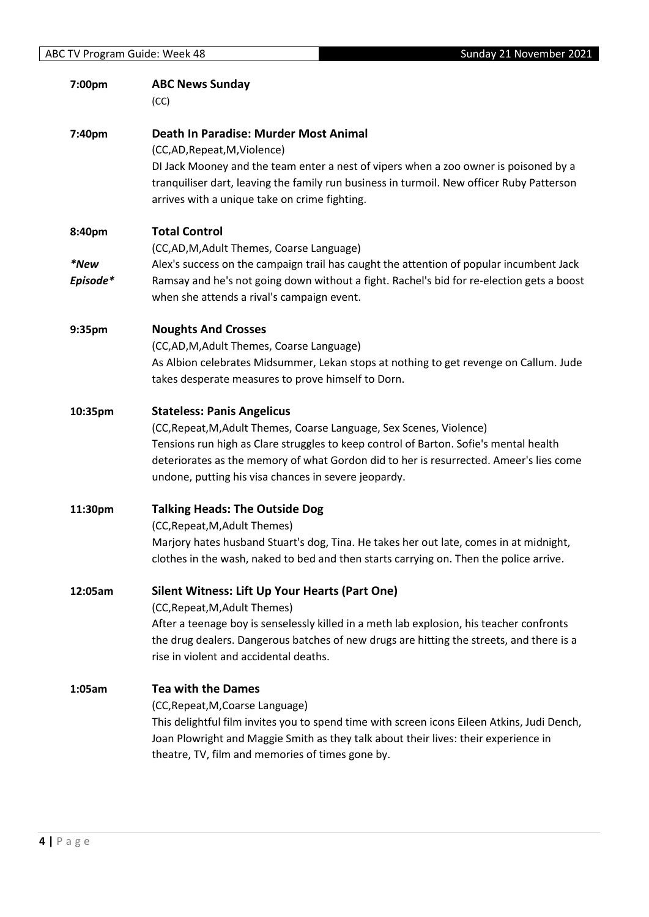| 7:00pm           | <b>ABC News Sunday</b><br>(CC)                                                                                                                                                                                                                                                                                                                       |
|------------------|------------------------------------------------------------------------------------------------------------------------------------------------------------------------------------------------------------------------------------------------------------------------------------------------------------------------------------------------------|
| 7:40pm           | Death In Paradise: Murder Most Animal<br>(CC,AD,Repeat,M,Violence)<br>DI Jack Mooney and the team enter a nest of vipers when a zoo owner is poisoned by a<br>tranquiliser dart, leaving the family run business in turmoil. New officer Ruby Patterson<br>arrives with a unique take on crime fighting.                                             |
| 8:40pm           | <b>Total Control</b><br>(CC,AD,M,Adult Themes, Coarse Language)                                                                                                                                                                                                                                                                                      |
| *New<br>Episode* | Alex's success on the campaign trail has caught the attention of popular incumbent Jack<br>Ramsay and he's not going down without a fight. Rachel's bid for re-election gets a boost<br>when she attends a rival's campaign event.                                                                                                                   |
| 9:35pm           | <b>Noughts And Crosses</b><br>(CC,AD,M,Adult Themes, Coarse Language)<br>As Albion celebrates Midsummer, Lekan stops at nothing to get revenge on Callum. Jude<br>takes desperate measures to prove himself to Dorn.                                                                                                                                 |
| 10:35pm          | <b>Stateless: Panis Angelicus</b><br>(CC, Repeat, M, Adult Themes, Coarse Language, Sex Scenes, Violence)<br>Tensions run high as Clare struggles to keep control of Barton. Sofie's mental health<br>deteriorates as the memory of what Gordon did to her is resurrected. Ameer's lies come<br>undone, putting his visa chances in severe jeopardy. |
| 11:30pm          | <b>Talking Heads: The Outside Dog</b><br>(CC, Repeat, M, Adult Themes)<br>Marjory hates husband Stuart's dog, Tina. He takes her out late, comes in at midnight,<br>clothes in the wash, naked to bed and then starts carrying on. Then the police arrive.                                                                                           |
| 12:05am          | Silent Witness: Lift Up Your Hearts (Part One)<br>(CC, Repeat, M, Adult Themes)<br>After a teenage boy is senselessly killed in a meth lab explosion, his teacher confronts<br>the drug dealers. Dangerous batches of new drugs are hitting the streets, and there is a<br>rise in violent and accidental deaths.                                    |
| 1:05am           | <b>Tea with the Dames</b><br>(CC, Repeat, M, Coarse Language)<br>This delightful film invites you to spend time with screen icons Eileen Atkins, Judi Dench,<br>Joan Plowright and Maggie Smith as they talk about their lives: their experience in<br>theatre, TV, film and memories of times gone by.                                              |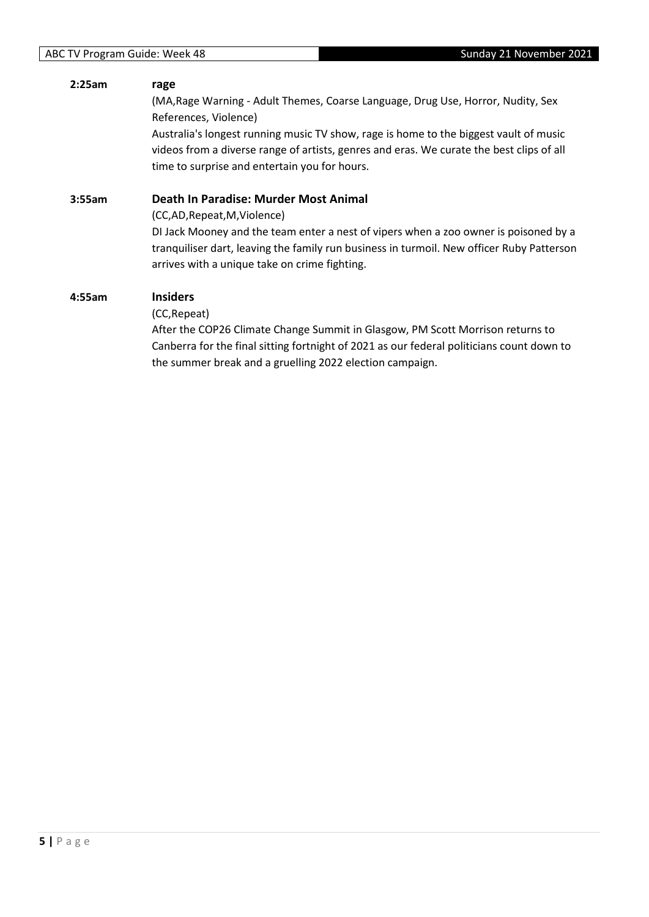#### **2:25am rage**

(MA,Rage Warning - Adult Themes, Coarse Language, Drug Use, Horror, Nudity, Sex References, Violence)

Australia's longest running music TV show, rage is home to the biggest vault of music videos from a diverse range of artists, genres and eras. We curate the best clips of all time to surprise and entertain you for hours.

#### **3:55am Death In Paradise: Murder Most Animal**

(CC,AD,Repeat,M,Violence)

DI Jack Mooney and the team enter a nest of vipers when a zoo owner is poisoned by a tranquiliser dart, leaving the family run business in turmoil. New officer Ruby Patterson arrives with a unique take on crime fighting.

#### **4:55am Insiders**

(CC,Repeat)

After the COP26 Climate Change Summit in Glasgow, PM Scott Morrison returns to Canberra for the final sitting fortnight of 2021 as our federal politicians count down to the summer break and a gruelling 2022 election campaign.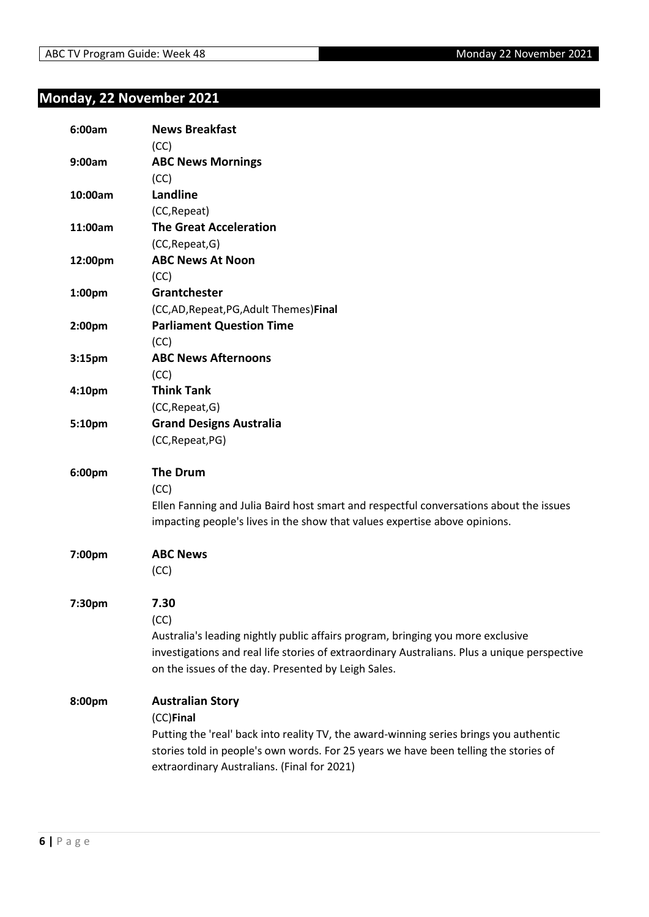# <span id="page-5-0"></span>**Monday, 22 November 2021**

| 6:00am             | <b>News Breakfast</b>                                                                        |
|--------------------|----------------------------------------------------------------------------------------------|
| 9:00am             | (CC)                                                                                         |
|                    | <b>ABC News Mornings</b><br>(CC)                                                             |
| 10:00am            | Landline                                                                                     |
|                    | (CC, Repeat)                                                                                 |
| 11:00am            | <b>The Great Acceleration</b>                                                                |
|                    | (CC, Repeat, G)                                                                              |
| 12:00pm            | <b>ABC News At Noon</b>                                                                      |
|                    | (CC)                                                                                         |
| 1:00pm             | Grantchester                                                                                 |
|                    | (CC,AD, Repeat, PG, Adult Themes) Final                                                      |
| 2:00 <sub>pm</sub> | <b>Parliament Question Time</b>                                                              |
|                    | (CC)                                                                                         |
| 3:15 <sub>pm</sub> | <b>ABC News Afternoons</b>                                                                   |
|                    | (CC)                                                                                         |
| 4:10 <sub>pm</sub> | <b>Think Tank</b>                                                                            |
|                    | (CC, Repeat, G)                                                                              |
| 5:10pm             | <b>Grand Designs Australia</b>                                                               |
|                    | (CC, Repeat, PG)                                                                             |
|                    |                                                                                              |
| 6:00pm             | <b>The Drum</b>                                                                              |
|                    | (CC)                                                                                         |
|                    | Ellen Fanning and Julia Baird host smart and respectful conversations about the issues       |
|                    | impacting people's lives in the show that values expertise above opinions.                   |
|                    |                                                                                              |
| 7:00pm             | <b>ABC News</b>                                                                              |
|                    | (CC)                                                                                         |
|                    |                                                                                              |
| 7:30pm             | 7.30                                                                                         |
|                    | (CC)                                                                                         |
|                    | Australia's leading nightly public affairs program, bringing you more exclusive              |
|                    | investigations and real life stories of extraordinary Australians. Plus a unique perspective |
|                    | on the issues of the day. Presented by Leigh Sales.                                          |
|                    |                                                                                              |
| 8:00pm             | <b>Australian Story</b>                                                                      |
|                    | (CC)Final                                                                                    |
|                    | Putting the 'real' back into reality TV, the award-winning series brings you authentic       |
|                    | stories told in people's own words. For 25 years we have been telling the stories of         |
|                    | extraordinary Australians. (Final for 2021)                                                  |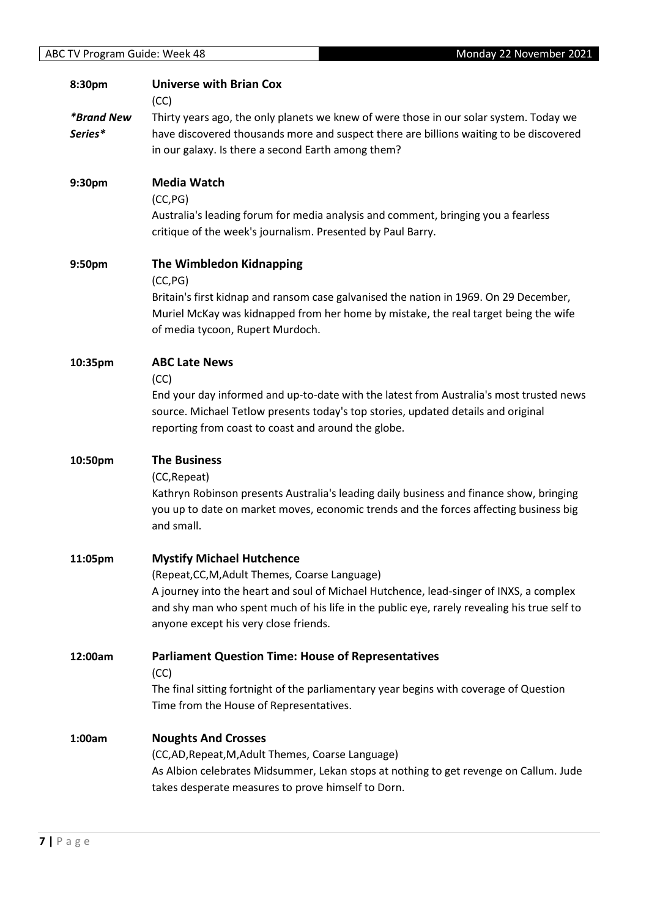| 8:30pm                              | <b>Universe with Brian Cox</b><br>(CC)                                                                                                                                                                                                                                                                               |
|-------------------------------------|----------------------------------------------------------------------------------------------------------------------------------------------------------------------------------------------------------------------------------------------------------------------------------------------------------------------|
| <i><b>*Brand New</b></i><br>Series* | Thirty years ago, the only planets we knew of were those in our solar system. Today we<br>have discovered thousands more and suspect there are billions waiting to be discovered<br>in our galaxy. Is there a second Earth among them?                                                                               |
| 9:30pm                              | <b>Media Watch</b><br>(CC, PG)<br>Australia's leading forum for media analysis and comment, bringing you a fearless<br>critique of the week's journalism. Presented by Paul Barry.                                                                                                                                   |
| 9:50pm                              | <b>The Wimbledon Kidnapping</b><br>(CC, PG)<br>Britain's first kidnap and ransom case galvanised the nation in 1969. On 29 December,<br>Muriel McKay was kidnapped from her home by mistake, the real target being the wife<br>of media tycoon, Rupert Murdoch.                                                      |
| 10:35pm                             | <b>ABC Late News</b><br>(CC)<br>End your day informed and up-to-date with the latest from Australia's most trusted news<br>source. Michael Tetlow presents today's top stories, updated details and original<br>reporting from coast to coast and around the globe.                                                  |
| 10:50pm                             | <b>The Business</b><br>(CC, Repeat)<br>Kathryn Robinson presents Australia's leading daily business and finance show, bringing<br>you up to date on market moves, economic trends and the forces affecting business big<br>and small.                                                                                |
| 11:05pm                             | <b>Mystify Michael Hutchence</b><br>(Repeat, CC, M, Adult Themes, Coarse Language)<br>A journey into the heart and soul of Michael Hutchence, lead-singer of INXS, a complex<br>and shy man who spent much of his life in the public eye, rarely revealing his true self to<br>anyone except his very close friends. |
| 12:00am                             | <b>Parliament Question Time: House of Representatives</b><br>(CC)<br>The final sitting fortnight of the parliamentary year begins with coverage of Question<br>Time from the House of Representatives.                                                                                                               |
| 1:00am                              | <b>Noughts And Crosses</b><br>(CC,AD, Repeat, M, Adult Themes, Coarse Language)<br>As Albion celebrates Midsummer, Lekan stops at nothing to get revenge on Callum. Jude<br>takes desperate measures to prove himself to Dorn.                                                                                       |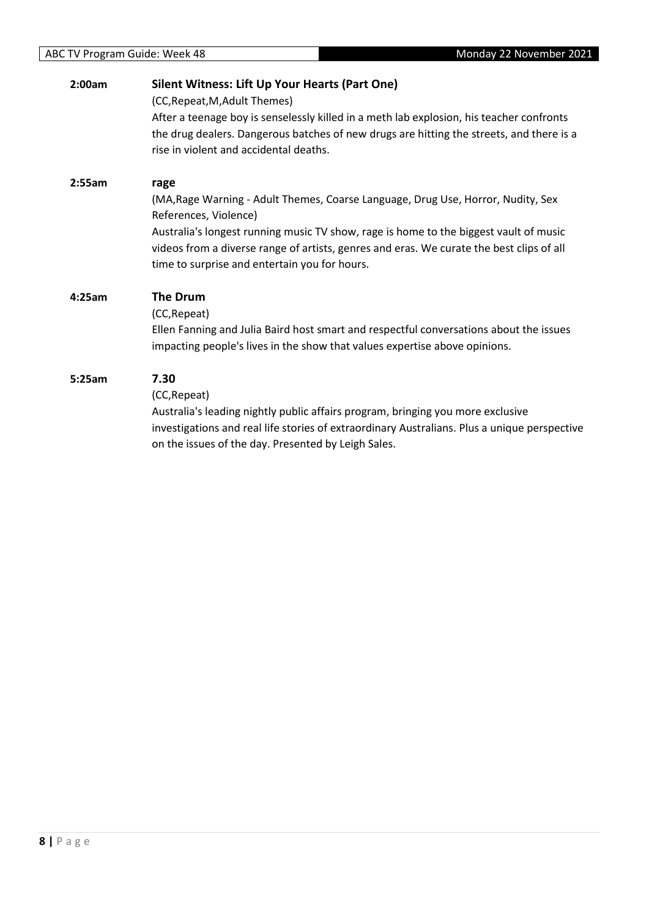#### **2:00am Silent Witness: Lift Up Your Hearts (Part One)**

(CC,Repeat,M,Adult Themes)

After a teenage boy is senselessly killed in a meth lab explosion, his teacher confronts the drug dealers. Dangerous batches of new drugs are hitting the streets, and there is a rise in violent and accidental deaths.

#### **2:55am rage**

(MA,Rage Warning - Adult Themes, Coarse Language, Drug Use, Horror, Nudity, Sex References, Violence)

Australia's longest running music TV show, rage is home to the biggest vault of music videos from a diverse range of artists, genres and eras. We curate the best clips of all time to surprise and entertain you for hours.

#### **4:25am The Drum**

#### (CC,Repeat)

Ellen Fanning and Julia Baird host smart and respectful conversations about the issues impacting people's lives in the show that values expertise above opinions.

#### **5:25am 7.30**

(CC,Repeat)

Australia's leading nightly public affairs program, bringing you more exclusive investigations and real life stories of extraordinary Australians. Plus a unique perspective on the issues of the day. Presented by Leigh Sales.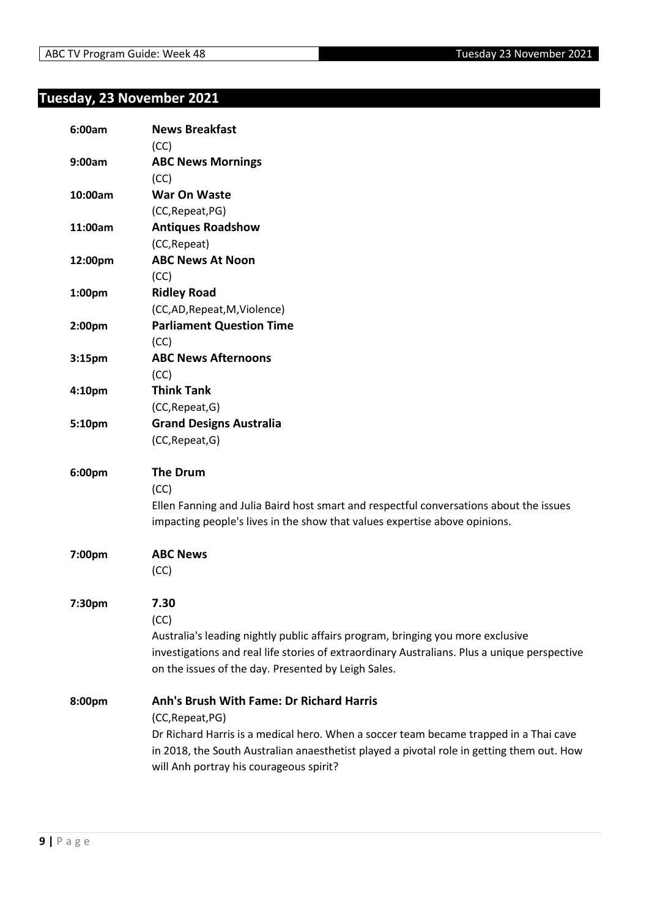# <span id="page-8-0"></span>**Tuesday, 23 November 2021**

| 6:00am             | <b>News Breakfast</b>                                                                        |
|--------------------|----------------------------------------------------------------------------------------------|
| 9:00am             | (CC)<br><b>ABC News Mornings</b>                                                             |
|                    | (CC)                                                                                         |
| 10:00am            | <b>War On Waste</b>                                                                          |
|                    | (CC, Repeat, PG)                                                                             |
| 11:00am            | <b>Antiques Roadshow</b>                                                                     |
|                    | (CC, Repeat)                                                                                 |
| 12:00pm            | <b>ABC News At Noon</b>                                                                      |
|                    | (CC)                                                                                         |
| 1:00pm             | <b>Ridley Road</b>                                                                           |
|                    | (CC,AD,Repeat,M,Violence)                                                                    |
| 2:00pm             | <b>Parliament Question Time</b>                                                              |
|                    | (CC)                                                                                         |
| 3:15 <sub>pm</sub> | <b>ABC News Afternoons</b>                                                                   |
|                    | (CC)                                                                                         |
| 4:10pm             | <b>Think Tank</b>                                                                            |
|                    | (CC, Repeat, G)                                                                              |
| 5:10pm             | <b>Grand Designs Australia</b>                                                               |
|                    | (CC, Repeat, G)                                                                              |
| 6:00pm             | <b>The Drum</b>                                                                              |
|                    | (CC)                                                                                         |
|                    | Ellen Fanning and Julia Baird host smart and respectful conversations about the issues       |
|                    | impacting people's lives in the show that values expertise above opinions.                   |
| 7:00pm             | <b>ABC News</b>                                                                              |
|                    | (CC)                                                                                         |
| 7:30pm             | 7.30                                                                                         |
|                    | (CC)                                                                                         |
|                    | Australia's leading nightly public affairs program, bringing you more exclusive              |
|                    | investigations and real life stories of extraordinary Australians. Plus a unique perspective |
|                    | on the issues of the day. Presented by Leigh Sales.                                          |
| 8:00pm             | <b>Anh's Brush With Fame: Dr Richard Harris</b>                                              |
|                    | (CC, Repeat, PG)                                                                             |
|                    | Dr Richard Harris is a medical hero. When a soccer team became trapped in a Thai cave        |
|                    | in 2018, the South Australian anaesthetist played a pivotal role in getting them out. How    |
|                    | will Anh portray his courageous spirit?                                                      |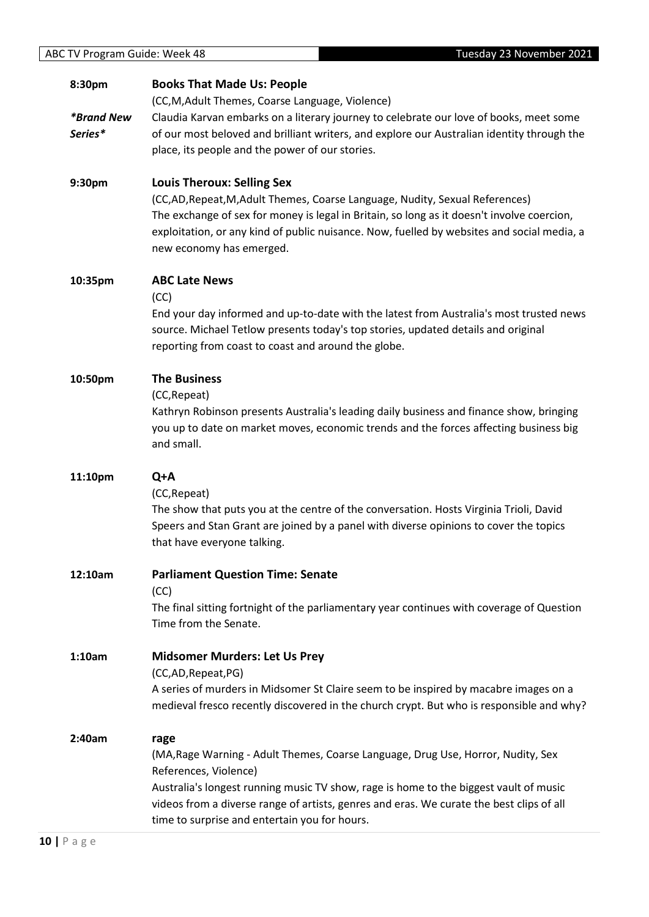## **8:30pm** *\*Brand New Series\** **Books That Made Us: People** (CC,M,Adult Themes, Coarse Language, Violence) Claudia Karvan embarks on a literary journey to celebrate our love of books, meet some of our most beloved and brilliant writers, and explore our Australian identity through the place, its people and the power of our stories. **9:30pm Louis Theroux: Selling Sex** (CC,AD,Repeat,M,Adult Themes, Coarse Language, Nudity, Sexual References) The exchange of sex for money is legal in Britain, so long as it doesn't involve coercion, exploitation, or any kind of public nuisance. Now, fuelled by websites and social media, a new economy has emerged.

#### **10:35pm ABC Late News**

(CC)

End your day informed and up-to-date with the latest from Australia's most trusted news source. Michael Tetlow presents today's top stories, updated details and original reporting from coast to coast and around the globe.

#### **10:50pm The Business**

(CC,Repeat)

Kathryn Robinson presents Australia's leading daily business and finance show, bringing you up to date on market moves, economic trends and the forces affecting business big and small.

#### **11:10pm Q+A**

(CC,Repeat)

The show that puts you at the centre of the conversation. Hosts Virginia Trioli, David Speers and Stan Grant are joined by a panel with diverse opinions to cover the topics that have everyone talking.

## **12:10am Parliament Question Time: Senate**

(CC)

The final sitting fortnight of the parliamentary year continues with coverage of Question Time from the Senate.

### **1:10am Midsomer Murders: Let Us Prey**

(CC,AD,Repeat,PG)

A series of murders in Midsomer St Claire seem to be inspired by macabre images on a medieval fresco recently discovered in the church crypt. But who is responsible and why?

#### **2:40am rage**

(MA,Rage Warning - Adult Themes, Coarse Language, Drug Use, Horror, Nudity, Sex References, Violence)

Australia's longest running music TV show, rage is home to the biggest vault of music videos from a diverse range of artists, genres and eras. We curate the best clips of all time to surprise and entertain you for hours.

| ABC TV Program Guide: Week 48 | Tuesday 23 November 2021 |
|-------------------------------|--------------------------|
|                               |                          |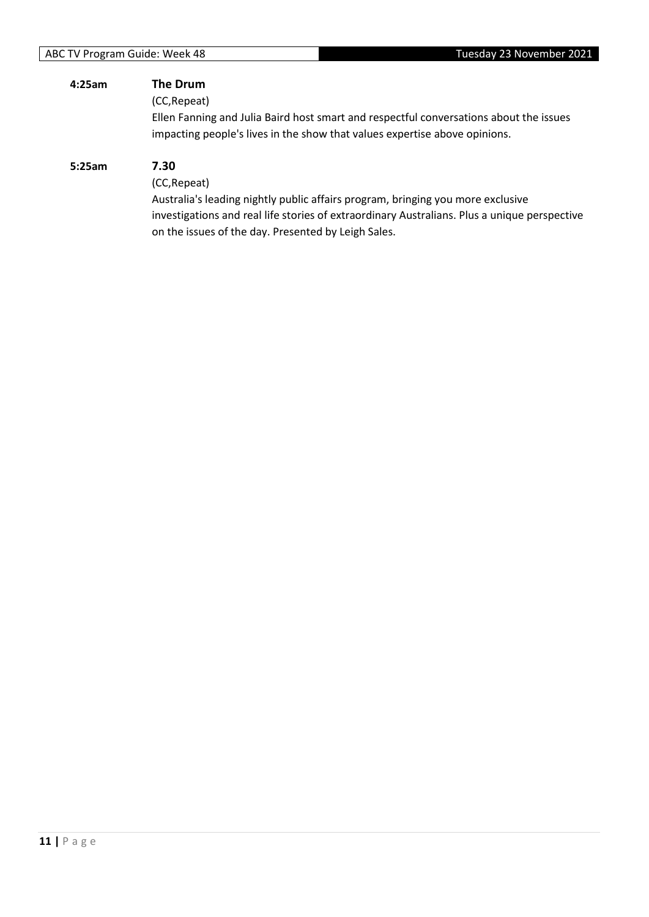| 4:25am | The Drum<br>(CC, Repeat)<br>Ellen Fanning and Julia Baird host smart and respectful conversations about the issues<br>impacting people's lives in the show that values expertise above opinions.                                                               |
|--------|----------------------------------------------------------------------------------------------------------------------------------------------------------------------------------------------------------------------------------------------------------------|
| 5:25am | 7.30<br>(CC, Repeat)<br>Australia's leading nightly public affairs program, bringing you more exclusive<br>investigations and real life stories of extraordinary Australians. Plus a unique perspective<br>on the issues of the day. Presented by Leigh Sales. |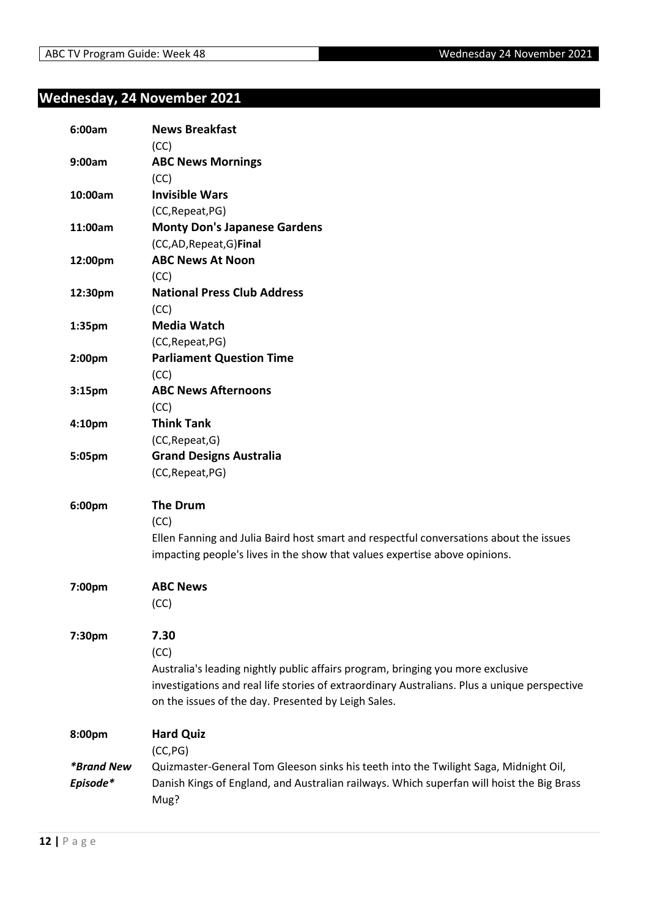# <span id="page-11-0"></span>**Wednesday, 24 November 2021**

| 6:00am                   | <b>News Breakfast</b><br>(CC)                                                                |
|--------------------------|----------------------------------------------------------------------------------------------|
| 9:00am                   | <b>ABC News Mornings</b>                                                                     |
|                          | (CC)                                                                                         |
| 10:00am                  | <b>Invisible Wars</b>                                                                        |
|                          | (CC, Repeat, PG)                                                                             |
| 11:00am                  | <b>Monty Don's Japanese Gardens</b>                                                          |
|                          | (CC,AD, Repeat, G) Final                                                                     |
| 12:00pm                  | <b>ABC News At Noon</b>                                                                      |
|                          | (CC)                                                                                         |
| 12:30pm                  | <b>National Press Club Address</b>                                                           |
|                          | (CC)                                                                                         |
| 1:35pm                   | <b>Media Watch</b>                                                                           |
|                          | (CC, Repeat, PG)                                                                             |
| 2:00pm                   | <b>Parliament Question Time</b>                                                              |
|                          | (CC)                                                                                         |
| 3:15 <sub>pm</sub>       | <b>ABC News Afternoons</b>                                                                   |
|                          | (CC)                                                                                         |
| 4:10 <sub>pm</sub>       | <b>Think Tank</b>                                                                            |
|                          | (CC, Repeat, G)                                                                              |
| 5:05pm                   | <b>Grand Designs Australia</b>                                                               |
|                          | (CC, Repeat, PG)                                                                             |
| 6:00pm                   | <b>The Drum</b>                                                                              |
|                          | (CC)                                                                                         |
|                          | Ellen Fanning and Julia Baird host smart and respectful conversations about the issues       |
|                          | impacting people's lives in the show that values expertise above opinions.                   |
|                          |                                                                                              |
| 7:00pm                   | <b>ABC News</b>                                                                              |
|                          | (CC)                                                                                         |
|                          |                                                                                              |
| 7:30pm                   | 7.30                                                                                         |
|                          | (CC)                                                                                         |
|                          | Australia's leading nightly public affairs program, bringing you more exclusive              |
|                          | investigations and real life stories of extraordinary Australians. Plus a unique perspective |
|                          | on the issues of the day. Presented by Leigh Sales.                                          |
| 8:00pm                   | <b>Hard Quiz</b>                                                                             |
|                          | (CC, PG)                                                                                     |
| <i><b>*Brand New</b></i> | Quizmaster-General Tom Gleeson sinks his teeth into the Twilight Saga, Midnight Oil,         |
| Episode*                 | Danish Kings of England, and Australian railways. Which superfan will hoist the Big Brass    |
|                          | Mug?                                                                                         |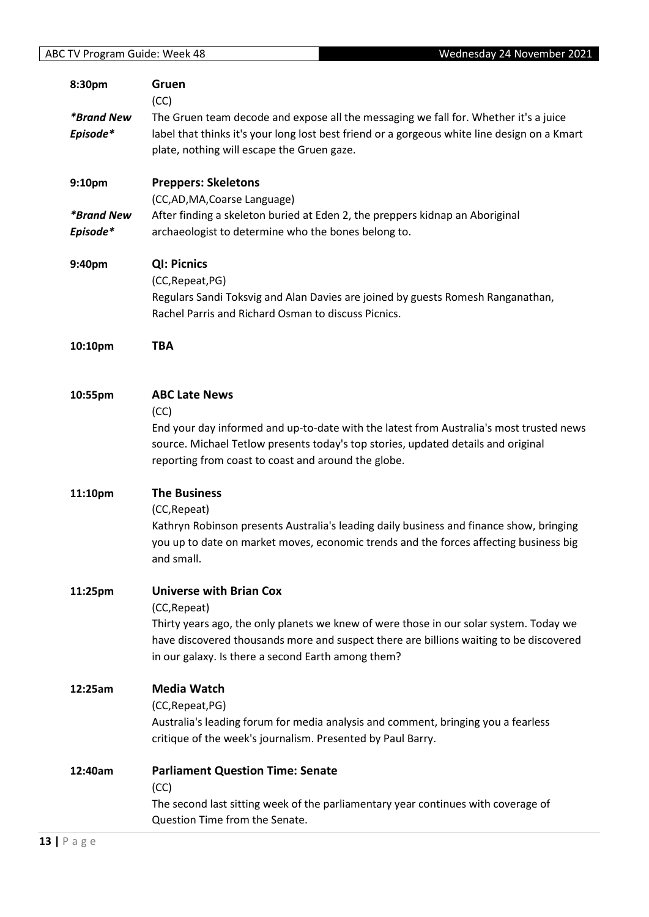| 8:30pm                   | Gruen                                                                                                                                  |
|--------------------------|----------------------------------------------------------------------------------------------------------------------------------------|
|                          | (CC)                                                                                                                                   |
| <i><b>*Brand New</b></i> | The Gruen team decode and expose all the messaging we fall for. Whether it's a juice                                                   |
| Episode*                 | label that thinks it's your long lost best friend or a gorgeous white line design on a Kmart                                           |
|                          | plate, nothing will escape the Gruen gaze.                                                                                             |
|                          |                                                                                                                                        |
| 9:10pm                   | <b>Preppers: Skeletons</b>                                                                                                             |
|                          | (CC,AD,MA,Coarse Language)                                                                                                             |
| <i><b>*Brand New</b></i> | After finding a skeleton buried at Eden 2, the preppers kidnap an Aboriginal                                                           |
| Episode*                 | archaeologist to determine who the bones belong to.                                                                                    |
| 9:40pm                   | <b>QI: Picnics</b>                                                                                                                     |
|                          | (CC, Repeat, PG)                                                                                                                       |
|                          |                                                                                                                                        |
|                          | Regulars Sandi Toksvig and Alan Davies are joined by guests Romesh Ranganathan,<br>Rachel Parris and Richard Osman to discuss Picnics. |
|                          |                                                                                                                                        |
| 10:10pm                  | <b>TBA</b>                                                                                                                             |
|                          |                                                                                                                                        |
| 10:55pm                  | <b>ABC Late News</b>                                                                                                                   |
|                          | (CC)                                                                                                                                   |
|                          | End your day informed and up-to-date with the latest from Australia's most trusted news                                                |
|                          | source. Michael Tetlow presents today's top stories, updated details and original                                                      |
|                          | reporting from coast to coast and around the globe.                                                                                    |
| 11:10pm                  | <b>The Business</b>                                                                                                                    |
|                          | (CC, Repeat)                                                                                                                           |
|                          | Kathryn Robinson presents Australia's leading daily business and finance show, bringing                                                |
|                          | you up to date on market moves, economic trends and the forces affecting business big                                                  |
|                          | and small.                                                                                                                             |
| 11:25pm                  | <b>Universe with Brian Cox</b>                                                                                                         |
|                          | (CC, Repeat)                                                                                                                           |
|                          | Thirty years ago, the only planets we knew of were those in our solar system. Today we                                                 |
|                          | have discovered thousands more and suspect there are billions waiting to be discovered                                                 |
|                          | in our galaxy. Is there a second Earth among them?                                                                                     |
| 12:25am                  | <b>Media Watch</b>                                                                                                                     |
|                          | (CC, Repeat, PG)                                                                                                                       |
|                          | Australia's leading forum for media analysis and comment, bringing you a fearless                                                      |
|                          | critique of the week's journalism. Presented by Paul Barry.                                                                            |
| 12:40am                  | <b>Parliament Question Time: Senate</b>                                                                                                |
|                          | (CC)                                                                                                                                   |
|                          | The second last sitting week of the parliamentary year continues with coverage of                                                      |
|                          | Question Time from the Senate.                                                                                                         |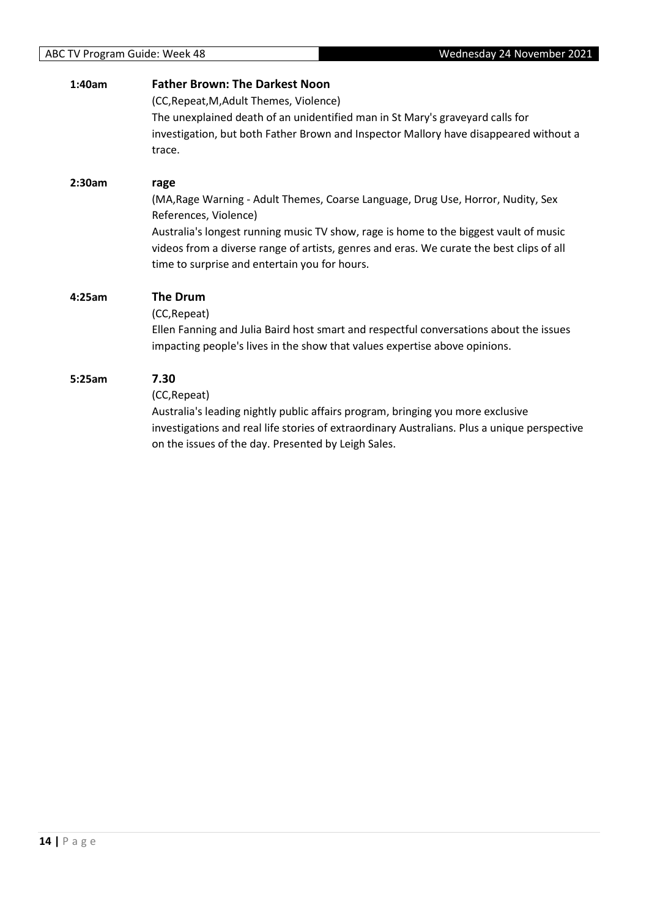| 1:40am | <b>Father Brown: The Darkest Noon</b><br>(CC, Repeat, M, Adult Themes, Violence)<br>The unexplained death of an unidentified man in St Mary's graveyard calls for<br>investigation, but both Father Brown and Inspector Mallory have disappeared without a<br>trace.                                                                                    |
|--------|---------------------------------------------------------------------------------------------------------------------------------------------------------------------------------------------------------------------------------------------------------------------------------------------------------------------------------------------------------|
| 2:30am | rage<br>(MA, Rage Warning - Adult Themes, Coarse Language, Drug Use, Horror, Nudity, Sex<br>References, Violence)<br>Australia's longest running music TV show, rage is home to the biggest vault of music<br>videos from a diverse range of artists, genres and eras. We curate the best clips of all<br>time to surprise and entertain you for hours. |
| 4:25am | <b>The Drum</b><br>(CC, Repeat)<br>Ellen Fanning and Julia Baird host smart and respectful conversations about the issues<br>impacting people's lives in the show that values expertise above opinions.                                                                                                                                                 |
| 5:25am | 7.30<br>(CC, Repeat)<br>Australia's leading nightly public affairs program, bringing you more exclusive<br>investigations and real life stories of extraordinary Australians. Plus a unique perspective<br>on the issues of the day. Presented by Leigh Sales.                                                                                          |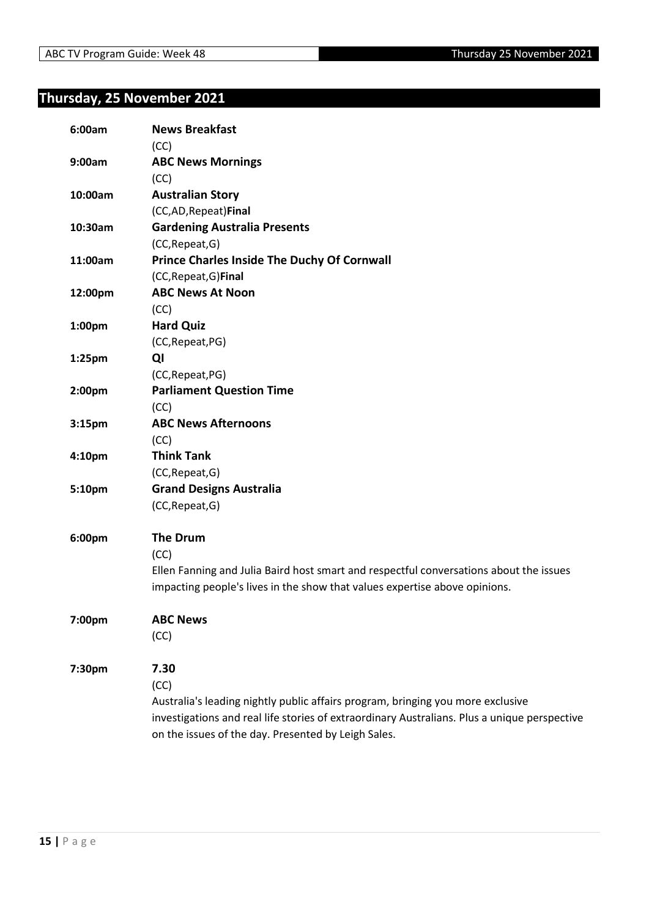# <span id="page-14-0"></span>**Thursday, 25 November 2021**

| 6:00am  | <b>News Breakfast</b>                                                                        |
|---------|----------------------------------------------------------------------------------------------|
|         | (CC)                                                                                         |
| 9:00am  | <b>ABC News Mornings</b>                                                                     |
|         | (CC)                                                                                         |
| 10:00am | <b>Australian Story</b>                                                                      |
|         | (CC,AD, Repeat) Final                                                                        |
| 10:30am | <b>Gardening Australia Presents</b>                                                          |
|         | (CC, Repeat, G)                                                                              |
| 11:00am | <b>Prince Charles Inside The Duchy Of Cornwall</b>                                           |
|         | (CC, Repeat, G) Final                                                                        |
| 12:00pm | <b>ABC News At Noon</b>                                                                      |
|         | (CC)                                                                                         |
| 1:00pm  | <b>Hard Quiz</b>                                                                             |
|         | (CC, Repeat, PG)                                                                             |
| 1:25pm  | QI                                                                                           |
|         | (CC, Repeat, PG)                                                                             |
| 2:00pm  | <b>Parliament Question Time</b>                                                              |
|         | (CC)                                                                                         |
| 3:15pm  | <b>ABC News Afternoons</b>                                                                   |
|         | (CC)                                                                                         |
| 4:10pm  | <b>Think Tank</b>                                                                            |
|         | (CC, Repeat, G)                                                                              |
| 5:10pm  | <b>Grand Designs Australia</b>                                                               |
|         | (CC, Repeat, G)                                                                              |
| 6:00pm  | <b>The Drum</b>                                                                              |
|         | (CC)                                                                                         |
|         | Ellen Fanning and Julia Baird host smart and respectful conversations about the issues       |
|         | impacting people's lives in the show that values expertise above opinions.                   |
| 7:00pm  | <b>ABC News</b>                                                                              |
|         | (CC)                                                                                         |
| 7:30pm  | 7.30                                                                                         |
|         | (CC)                                                                                         |
|         | Australia's leading nightly public affairs program, bringing you more exclusive              |
|         | investigations and real life stories of extraordinary Australians. Plus a unique perspective |
|         | on the issues of the day. Presented by Leigh Sales.                                          |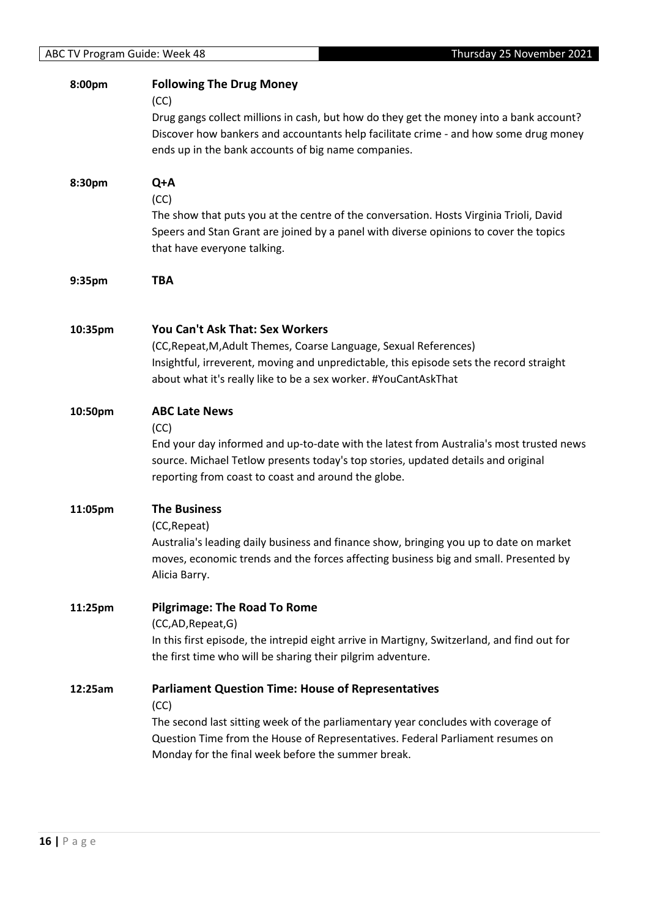| <b>ABC TV Program Guide: Week 48</b> | Thursday 25 November 2021                                                                                                                                                                                                                                                                      |
|--------------------------------------|------------------------------------------------------------------------------------------------------------------------------------------------------------------------------------------------------------------------------------------------------------------------------------------------|
| 8:00pm                               | <b>Following The Drug Money</b><br>(CC)<br>Drug gangs collect millions in cash, but how do they get the money into a bank account?<br>Discover how bankers and accountants help facilitate crime - and how some drug money<br>ends up in the bank accounts of big name companies.              |
| 8:30pm                               | Q+A<br>(CC)<br>The show that puts you at the centre of the conversation. Hosts Virginia Trioli, David<br>Speers and Stan Grant are joined by a panel with diverse opinions to cover the topics<br>that have everyone talking.                                                                  |
| 9:35pm                               | <b>TBA</b>                                                                                                                                                                                                                                                                                     |
| 10:35pm                              | <b>You Can't Ask That: Sex Workers</b><br>(CC, Repeat, M, Adult Themes, Coarse Language, Sexual References)<br>Insightful, irreverent, moving and unpredictable, this episode sets the record straight<br>about what it's really like to be a sex worker. #YouCantAskThat                      |
| 10:50pm                              | <b>ABC Late News</b><br>(CC)<br>End your day informed and up-to-date with the latest from Australia's most trusted news<br>source. Michael Tetlow presents today's top stories, updated details and original<br>reporting from coast to coast and around the globe.                            |
| 11:05pm                              | <b>The Business</b><br>(CC, Repeat)<br>Australia's leading daily business and finance show, bringing you up to date on market<br>moves, economic trends and the forces affecting business big and small. Presented by<br>Alicia Barry.                                                         |
| 11:25pm                              | <b>Pilgrimage: The Road To Rome</b><br>(CC,AD,Repeat,G)<br>In this first episode, the intrepid eight arrive in Martigny, Switzerland, and find out for<br>the first time who will be sharing their pilgrim adventure.                                                                          |
| 12:25am                              | <b>Parliament Question Time: House of Representatives</b><br>(CC)<br>The second last sitting week of the parliamentary year concludes with coverage of<br>Question Time from the House of Representatives. Federal Parliament resumes on<br>Monday for the final week before the summer break. |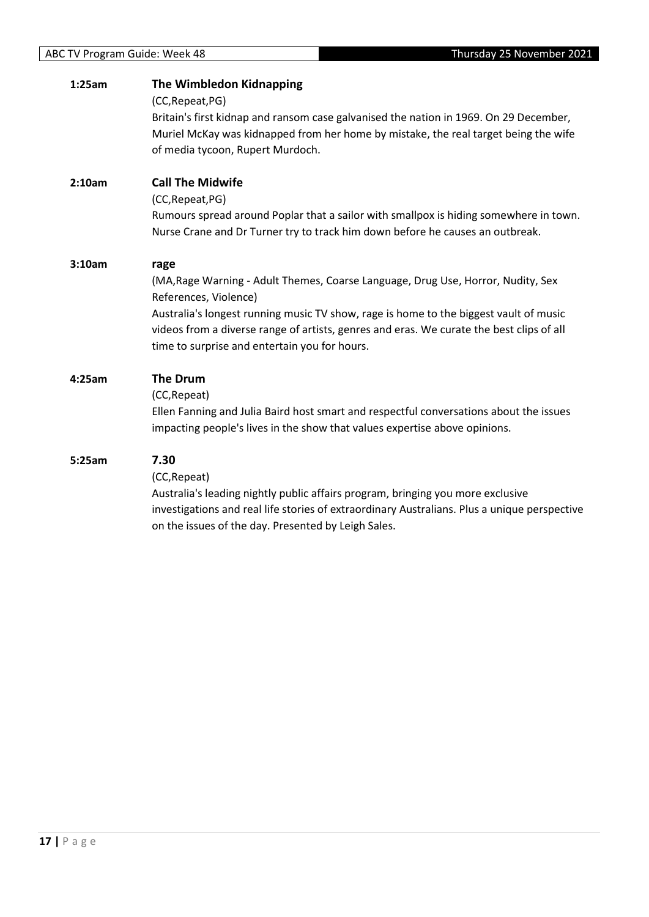| 1:25am | <b>The Wimbledon Kidnapping</b>                                                          |
|--------|------------------------------------------------------------------------------------------|
|        | (CC, Repeat, PG)                                                                         |
|        | Britain's first kidnap and ransom case galvanised the nation in 1969. On 29 December,    |
|        | Muriel McKay was kidnapped from her home by mistake, the real target being the wife      |
|        | of media tycoon, Rupert Murdoch.                                                         |
| 2:10am | <b>Call The Midwife</b>                                                                  |
|        | (CC, Repeat, PG)                                                                         |
|        | Rumours spread around Poplar that a sailor with smallpox is hiding somewhere in town.    |
|        | Nurse Crane and Dr Turner try to track him down before he causes an outbreak.            |
| 3:10am | rage                                                                                     |
|        | (MA, Rage Warning - Adult Themes, Coarse Language, Drug Use, Horror, Nudity, Sex         |
|        | References, Violence)                                                                    |
|        | Australia's longest running music TV show, rage is home to the biggest vault of music    |
|        | videos from a diverse range of artists, genres and eras. We curate the best clips of all |
|        | time to surprise and entertain you for hours.                                            |
| 4:25am | <b>The Drum</b>                                                                          |
|        | (CC, Repeat)                                                                             |
|        | Ellen Fanning and Julia Baird host smart and respectful conversations about the issues   |
|        | impacting people's lives in the show that values expertise above opinions.               |
| 5:25am | 7.30                                                                                     |
|        | (CC, Repeat)                                                                             |
|        | Australia's leading nightly public affairs program, bringing you more exclusive          |
|        |                                                                                          |

investigations and real life stories of extraordinary Australians. Plus a unique perspective on the issues of the day. Presented by Leigh Sales.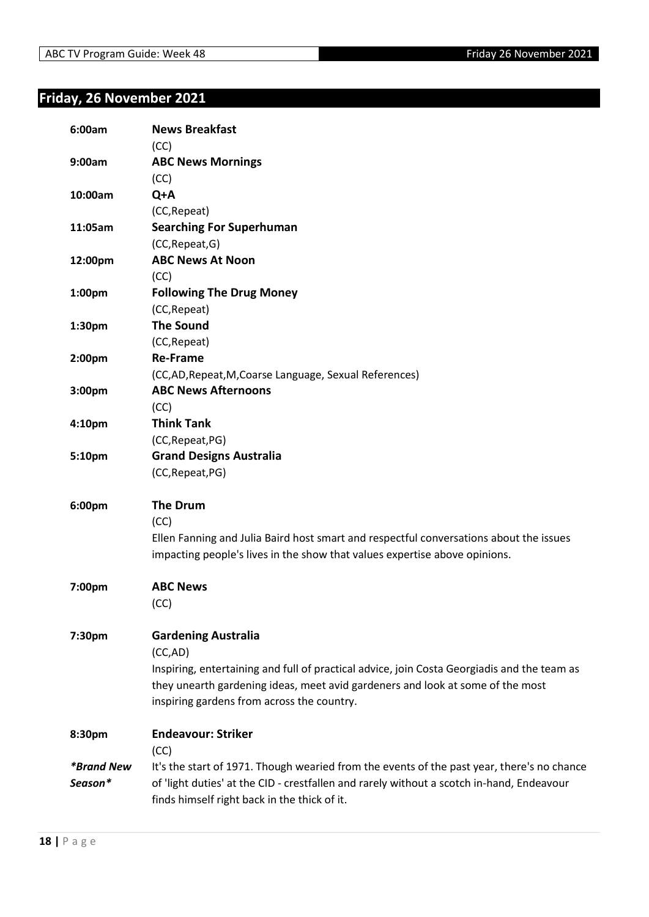# <span id="page-17-0"></span>**Friday, 26 November 2021**

| 6:00am                   | <b>News Breakfast</b>                                                                       |
|--------------------------|---------------------------------------------------------------------------------------------|
|                          | (CC)                                                                                        |
| 9:00am                   | <b>ABC News Mornings</b>                                                                    |
|                          | (CC)                                                                                        |
| 10:00am                  | Q+A                                                                                         |
|                          | (CC, Repeat)                                                                                |
| 11:05am                  | <b>Searching For Superhuman</b>                                                             |
|                          | (CC, Repeat, G)                                                                             |
| 12:00pm                  | <b>ABC News At Noon</b>                                                                     |
|                          | (CC)                                                                                        |
| 1:00pm                   | <b>Following The Drug Money</b>                                                             |
|                          | (CC, Repeat)                                                                                |
| 1:30pm                   | <b>The Sound</b>                                                                            |
|                          | (CC, Repeat)                                                                                |
| 2:00 <sub>pm</sub>       | <b>Re-Frame</b>                                                                             |
|                          | (CC,AD, Repeat, M, Coarse Language, Sexual References)                                      |
| 3:00pm                   | <b>ABC News Afternoons</b>                                                                  |
|                          | (CC)                                                                                        |
| 4:10 <sub>pm</sub>       | <b>Think Tank</b>                                                                           |
|                          | (CC, Repeat, PG)                                                                            |
| 5:10pm                   | <b>Grand Designs Australia</b>                                                              |
|                          | (CC, Repeat, PG)                                                                            |
|                          |                                                                                             |
| 6:00pm                   | <b>The Drum</b>                                                                             |
|                          | (CC)                                                                                        |
|                          | Ellen Fanning and Julia Baird host smart and respectful conversations about the issues      |
|                          | impacting people's lives in the show that values expertise above opinions.                  |
| 7:00pm                   | <b>ABC News</b>                                                                             |
|                          |                                                                                             |
|                          | (CC)                                                                                        |
| 7:30pm                   | <b>Gardening Australia</b>                                                                  |
|                          | (CC,AD)                                                                                     |
|                          | Inspiring, entertaining and full of practical advice, join Costa Georgiadis and the team as |
|                          | they unearth gardening ideas, meet avid gardeners and look at some of the most              |
|                          | inspiring gardens from across the country.                                                  |
|                          |                                                                                             |
| 8:30pm                   | <b>Endeavour: Striker</b>                                                                   |
|                          | (CC)                                                                                        |
| <i><b>*Brand New</b></i> | It's the start of 1971. Though wearied from the events of the past year, there's no chance  |
| Season*                  | of 'light duties' at the CID - crestfallen and rarely without a scotch in-hand, Endeavour   |
|                          | finds himself right back in the thick of it.                                                |
|                          |                                                                                             |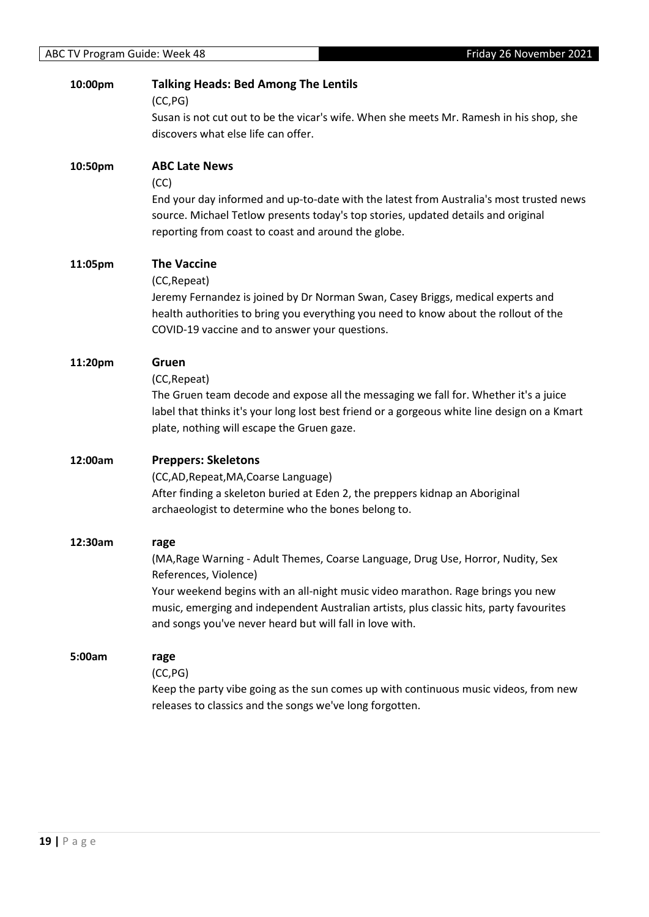| 10:00pm | <b>Talking Heads: Bed Among The Lentils</b><br>(CC, PG)                                                                                                                                                                                                                                                                                                     |
|---------|-------------------------------------------------------------------------------------------------------------------------------------------------------------------------------------------------------------------------------------------------------------------------------------------------------------------------------------------------------------|
|         | Susan is not cut out to be the vicar's wife. When she meets Mr. Ramesh in his shop, she<br>discovers what else life can offer.                                                                                                                                                                                                                              |
| 10:50pm | <b>ABC Late News</b><br>(CC)                                                                                                                                                                                                                                                                                                                                |
|         | End your day informed and up-to-date with the latest from Australia's most trusted news<br>source. Michael Tetlow presents today's top stories, updated details and original<br>reporting from coast to coast and around the globe.                                                                                                                         |
| 11:05pm | <b>The Vaccine</b><br>(CC, Repeat)<br>Jeremy Fernandez is joined by Dr Norman Swan, Casey Briggs, medical experts and<br>health authorities to bring you everything you need to know about the rollout of the<br>COVID-19 vaccine and to answer your questions.                                                                                             |
| 11:20pm | Gruen<br>(CC, Repeat)<br>The Gruen team decode and expose all the messaging we fall for. Whether it's a juice<br>label that thinks it's your long lost best friend or a gorgeous white line design on a Kmart<br>plate, nothing will escape the Gruen gaze.                                                                                                 |
| 12:00am | <b>Preppers: Skeletons</b><br>(CC,AD, Repeat, MA, Coarse Language)<br>After finding a skeleton buried at Eden 2, the preppers kidnap an Aboriginal<br>archaeologist to determine who the bones belong to.                                                                                                                                                   |
| 12:30am | rage<br>(MA, Rage Warning - Adult Themes, Coarse Language, Drug Use, Horror, Nudity, Sex<br>References, Violence)<br>Your weekend begins with an all-night music video marathon. Rage brings you new<br>music, emerging and independent Australian artists, plus classic hits, party favourites<br>and songs you've never heard but will fall in love with. |
| 5:00am  | rage<br>(CC, PG)<br>Keep the party vibe going as the sun comes up with continuous music videos, from new<br>releases to classics and the songs we've long forgotten.                                                                                                                                                                                        |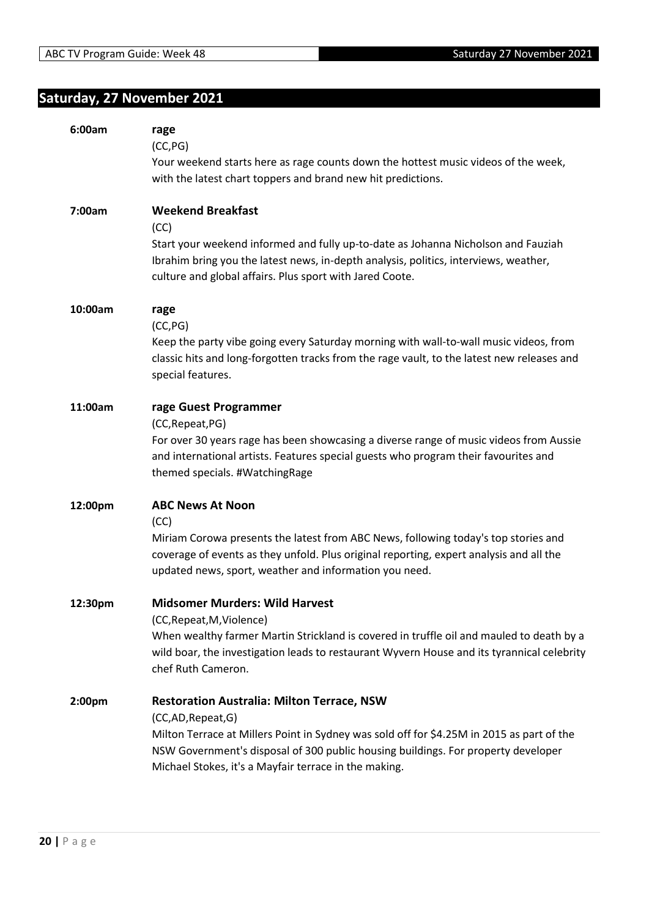# <span id="page-19-0"></span>**Saturday, 27 November 2021**

| 6:00am  | rage<br>(CC, PG)<br>Your weekend starts here as rage counts down the hottest music videos of the week,<br>with the latest chart toppers and brand new hit predictions.                                                                                                                                             |
|---------|--------------------------------------------------------------------------------------------------------------------------------------------------------------------------------------------------------------------------------------------------------------------------------------------------------------------|
| 7:00am  | <b>Weekend Breakfast</b><br>(CC)<br>Start your weekend informed and fully up-to-date as Johanna Nicholson and Fauziah<br>Ibrahim bring you the latest news, in-depth analysis, politics, interviews, weather,<br>culture and global affairs. Plus sport with Jared Coote.                                          |
| 10:00am | rage<br>(CC, PG)<br>Keep the party vibe going every Saturday morning with wall-to-wall music videos, from<br>classic hits and long-forgotten tracks from the rage vault, to the latest new releases and<br>special features.                                                                                       |
| 11:00am | rage Guest Programmer<br>(CC, Repeat, PG)<br>For over 30 years rage has been showcasing a diverse range of music videos from Aussie<br>and international artists. Features special guests who program their favourites and<br>themed specials. #WatchingRage                                                       |
| 12:00pm | <b>ABC News At Noon</b><br>(CC)<br>Miriam Corowa presents the latest from ABC News, following today's top stories and<br>coverage of events as they unfold. Plus original reporting, expert analysis and all the<br>updated news, sport, weather and information you need.                                         |
| 12:30pm | <b>Midsomer Murders: Wild Harvest</b><br>(CC, Repeat, M, Violence)<br>When wealthy farmer Martin Strickland is covered in truffle oil and mauled to death by a<br>wild boar, the investigation leads to restaurant Wyvern House and its tyrannical celebrity<br>chef Ruth Cameron.                                 |
| 2:00pm  | <b>Restoration Australia: Milton Terrace, NSW</b><br>(CC,AD, Repeat, G)<br>Milton Terrace at Millers Point in Sydney was sold off for \$4.25M in 2015 as part of the<br>NSW Government's disposal of 300 public housing buildings. For property developer<br>Michael Stokes, it's a Mayfair terrace in the making. |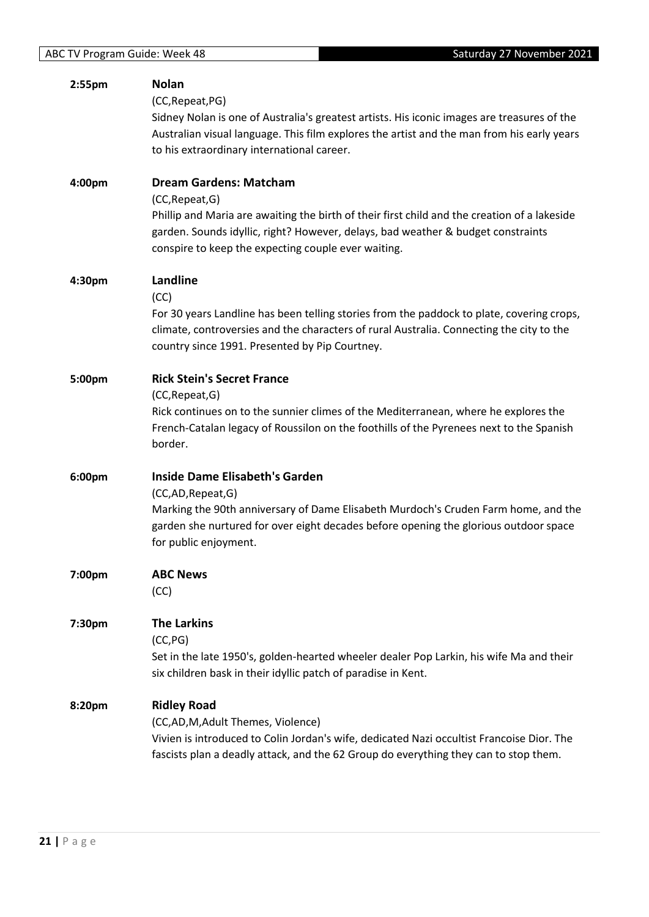| 2:55pm | <b>Nolan</b>                                                                                 |
|--------|----------------------------------------------------------------------------------------------|
|        | (CC, Repeat, PG)                                                                             |
|        | Sidney Nolan is one of Australia's greatest artists. His iconic images are treasures of the  |
|        | Australian visual language. This film explores the artist and the man from his early years   |
|        | to his extraordinary international career.                                                   |
|        |                                                                                              |
| 4:00pm | <b>Dream Gardens: Matcham</b>                                                                |
|        | (CC, Repeat, G)                                                                              |
|        | Phillip and Maria are awaiting the birth of their first child and the creation of a lakeside |
|        | garden. Sounds idyllic, right? However, delays, bad weather & budget constraints             |
|        | conspire to keep the expecting couple ever waiting.                                          |
|        |                                                                                              |
| 4:30pm | Landline                                                                                     |
|        | (CC)                                                                                         |
|        | For 30 years Landline has been telling stories from the paddock to plate, covering crops,    |
|        | climate, controversies and the characters of rural Australia. Connecting the city to the     |
|        | country since 1991. Presented by Pip Courtney.                                               |
|        |                                                                                              |
| 5:00pm | <b>Rick Stein's Secret France</b>                                                            |
|        | (CC, Repeat, G)                                                                              |
|        | Rick continues on to the sunnier climes of the Mediterranean, where he explores the          |
|        | French-Catalan legacy of Roussilon on the foothills of the Pyrenees next to the Spanish      |
|        | border.                                                                                      |
|        |                                                                                              |
| 6:00pm | <b>Inside Dame Elisabeth's Garden</b>                                                        |
|        | (CC,AD,Repeat,G)                                                                             |
|        | Marking the 90th anniversary of Dame Elisabeth Murdoch's Cruden Farm home, and the           |
|        | garden she nurtured for over eight decades before opening the glorious outdoor space         |
|        | for public enjoyment.                                                                        |
|        |                                                                                              |
| 7:00pm | <b>ABC News</b>                                                                              |
|        | (CC)                                                                                         |
| 7:30pm | <b>The Larkins</b>                                                                           |
|        |                                                                                              |
|        | (CC, PG)                                                                                     |
|        | Set in the late 1950's, golden-hearted wheeler dealer Pop Larkin, his wife Ma and their      |
|        | six children bask in their idyllic patch of paradise in Kent.                                |
| 8:20pm | <b>Ridley Road</b>                                                                           |
|        | (CC,AD,M,Adult Themes, Violence)                                                             |
|        | Vivien is introduced to Colin Jordan's wife, dedicated Nazi occultist Francoise Dior. The    |
|        | fascists plan a deadly attack, and the 62 Group do everything they can to stop them.         |
|        |                                                                                              |